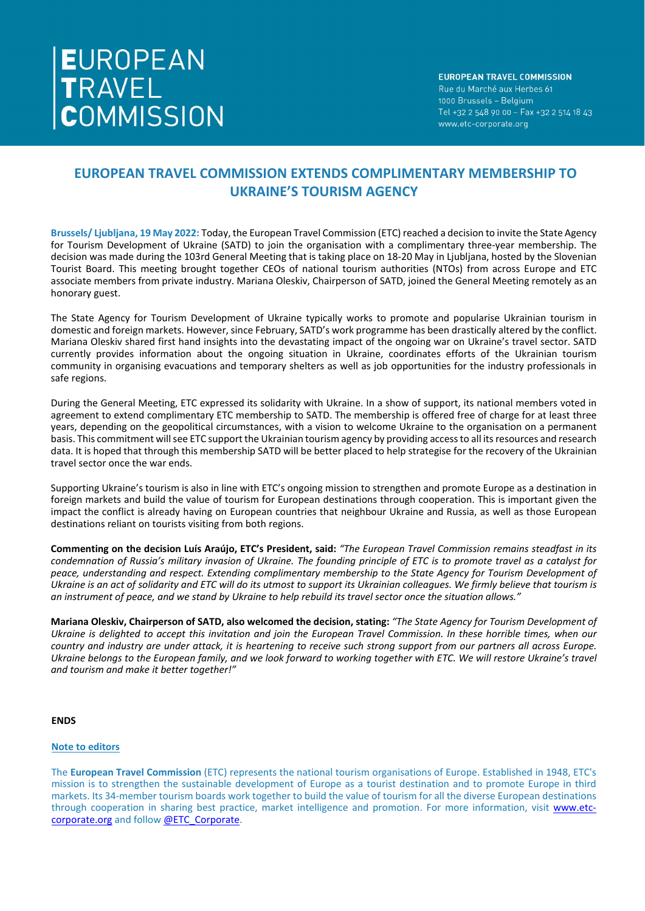# EUROPEAN<br>TRAVEL<br>COMMISSION

### **EUROPEAN TRAVEL COMMISSION** Rue du Marché aux Herbes 61 1000 Brussels - Belgium Tel +32 2 548 90 00 - Fax +32 2 514 18 43 www.etc-corporate.org

# **EUROPEAN TRAVEL COMMISSION EXTENDS COMPLIMENTARY MEMBERSHIP TO UKRAINE'S TOURISM AGENCY**

**Brussels/ Ljubljana, 19 May 2022:** Today, the European Travel Commission (ETC) reached a decision to invite the State Agency for Tourism Development of Ukraine (SATD) to join the organisation with a complimentary three-year membership. The decision was made during the 103rd General Meeting that is taking place on 18-20 May in Ljubljana, hosted by the Slovenian Tourist Board. This meeting brought together CEOs of national tourism authorities (NTOs) from across Europe and ETC associate members from private industry. Mariana Oleskiv, Chairperson of SATD, joined the General Meeting remotely as an honorary guest.

The State Agency for Tourism Development of Ukraine typically works to promote and popularise Ukrainian tourism in domestic and foreign markets. However, since February, SATD's work programme has been drastically altered by the conflict. Mariana Oleskiv shared first hand insights into the devastating impact of the ongoing war on Ukraine's travel sector. SATD currently provides information about the ongoing situation in Ukraine, coordinates efforts of the Ukrainian tourism community in organising evacuations and temporary shelters as well as job opportunities for the industry professionals in safe regions.

During the General Meeting, ETC expressed its solidarity with Ukraine. In a show of support, its national members voted in agreement to extend complimentary ETC membership to SATD. The membership is offered free of charge for at least three years, depending on the geopolitical circumstances, with a vision to welcome Ukraine to the organisation on a permanent basis. This commitment will see ETC support the Ukrainian tourism agency by providing access to all its resources and research data. It is hoped that through this membership SATD will be better placed to help strategise for the recovery of the Ukrainian travel sector once the war ends.

Supporting Ukraine's tourism is also in line with ETC's ongoing mission to strengthen and promote Europe as a destination in foreign markets and build the value of tourism for European destinations through cooperation. This is important given the impact the conflict is already having on European countries that neighbour Ukraine and Russia, as well as those European destinations reliant on tourists visiting from both regions.

**Commenting on the decision Luís Araújo, ETC's President, said:** *"The European Travel Commission remains steadfast in its condemnation of Russia's military invasion of Ukraine. The founding principle of ETC is to promote travel as a catalyst for peace, understanding and respect. Extending complimentary membership to the State Agency for Tourism Development of Ukraine is an act of solidarity and ETC will do its utmost to support its Ukrainian colleagues. We firmly believe that tourism is an instrument of peace, and we stand by Ukraine to help rebuild its travel sector once the situation allows."*

**Mariana Oleskiv, Chairperson of SATD, also welcomed the decision, stating:** *"The State Agency for Tourism Development of Ukraine is delighted to accept this invitation and join the European Travel Commission. In these horrible times, when our country and industry are under attack, it is heartening to receive such strong support from our partners all across Europe.*  Ukraine belonas to the European family, and we look forward to working together with ETC. We will restore Ukraine's travel *and tourism and make it better together!"*

# **ENDS**

## **Note to editors**

The **European Travel Commission** (ETC) represents the national tourism organisations of Europe. Established in 1948, ETC's mission is to strengthen the sustainable development of Europe as a tourist destination and to promote Europe in third markets. Its 34-member tourism boards work together to build the value of tourism for all the diverse European destinations through cooperation in sharing best practice, market intelligence and promotion. For more information, visit [www.etc](https://etc-corporate.org/)[corporate.org](https://etc-corporate.org/) and follow [@ETC\\_Corporate.](https://twitter.com/ETC_Corporate)